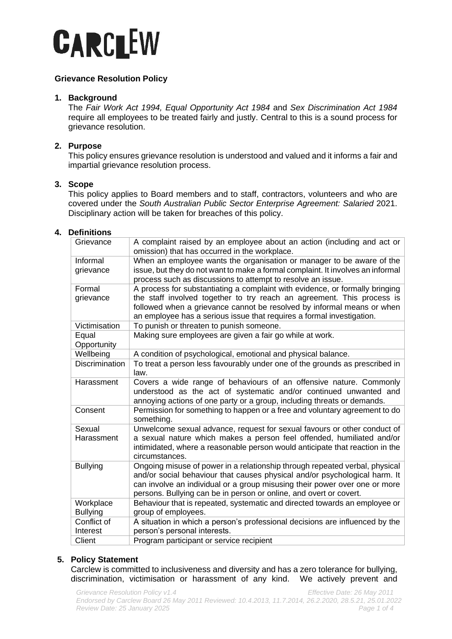# **CARCLEW**

# **Grievance Resolution Policy**

## **1. Background**

The *Fair Work Act 1994, Equal Opportunity Act 1984* and *Sex Discrimination Act 1984* require all employees to be treated fairly and justly. Central to this is a sound process for grievance resolution.

## **2. Purpose**

This policy ensures grievance resolution is understood and valued and it informs a fair and impartial grievance resolution process.

## **3. Scope**

This policy applies to Board members and to staff, contractors, volunteers and who are covered under the *South Australian Public Sector Enterprise Agreement: Salaried* 2021. Disciplinary action will be taken for breaches of this policy.

## **4. Definitions**

| Grievance             | A complaint raised by an employee about an action (including and act or<br>omission) that has occurred in the workplace.                        |
|-----------------------|-------------------------------------------------------------------------------------------------------------------------------------------------|
| Informal              | When an employee wants the organisation or manager to be aware of the                                                                           |
| grievance             | issue, but they do not want to make a formal complaint. It involves an informal<br>process such as discussions to attempt to resolve an issue.  |
| Formal                | A process for substantiating a complaint with evidence, or formally bringing                                                                    |
| grievance             | the staff involved together to try reach an agreement. This process is                                                                          |
|                       | followed when a grievance cannot be resolved by informal means or when<br>an employee has a serious issue that requires a formal investigation. |
| Victimisation         | To punish or threaten to punish someone.                                                                                                        |
| Equal                 | Making sure employees are given a fair go while at work.                                                                                        |
| Opportunity           |                                                                                                                                                 |
| Wellbeing             | A condition of psychological, emotional and physical balance.                                                                                   |
| <b>Discrimination</b> | To treat a person less favourably under one of the grounds as prescribed in                                                                     |
|                       | law.                                                                                                                                            |
| Harassment            | Covers a wide range of behaviours of an offensive nature. Commonly                                                                              |
|                       | understood as the act of systematic and/or continued unwanted and                                                                               |
|                       | annoying actions of one party or a group, including threats or demands.                                                                         |
| Consent               | Permission for something to happen or a free and voluntary agreement to do<br>something.                                                        |
| Sexual                | Unwelcome sexual advance, request for sexual favours or other conduct of                                                                        |
| Harassment            | a sexual nature which makes a person feel offended, humiliated and/or                                                                           |
|                       | intimidated, where a reasonable person would anticipate that reaction in the                                                                    |
|                       | circumstances.                                                                                                                                  |
| <b>Bullying</b>       | Ongoing misuse of power in a relationship through repeated verbal, physical                                                                     |
|                       | and/or social behaviour that causes physical and/or psychological harm. It                                                                      |
|                       | can involve an individual or a group misusing their power over one or more                                                                      |
|                       | persons. Bullying can be in person or online, and overt or covert.                                                                              |
| Workplace             | Behaviour that is repeated, systematic and directed towards an employee or                                                                      |
| <b>Bullying</b>       | group of employees.                                                                                                                             |
| Conflict of           | A situation in which a person's professional decisions are influenced by the                                                                    |
| Interest              | person's personal interests.                                                                                                                    |
| Client                | Program participant or service recipient                                                                                                        |

## **5. Policy Statement**

Carclew is committed to inclusiveness and diversity and has a zero tolerance for bullying, discrimination, victimisation or harassment of any kind. We actively prevent and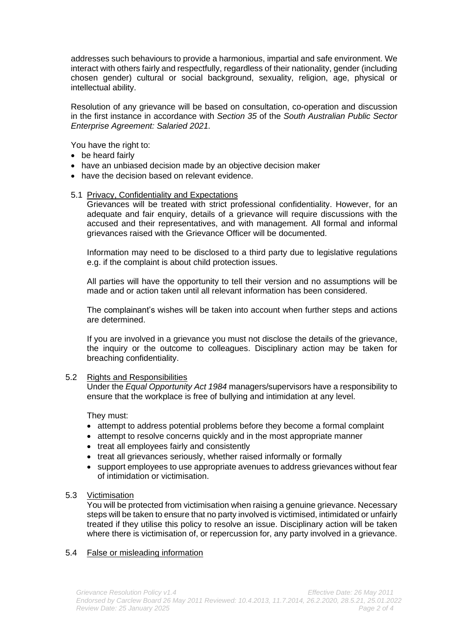addresses such behaviours to provide a harmonious, impartial and safe environment. We interact with others fairly and respectfully, regardless of their nationality, gender (including chosen gender) cultural or social background, sexuality, religion, age, physical or intellectual ability.

Resolution of any grievance will be based on consultation, co-operation and discussion in the first instance in accordance with *Section 35* of the *South Australian Public Sector Enterprise Agreement: Salaried 2021.*

You have the right to:

- be heard fairly
- have an unbiased decision made by an objective decision maker
- have the decision based on relevant evidence.

#### 5.1 Privacy, Confidentiality and Expectations

Grievances will be treated with strict professional confidentiality. However, for an adequate and fair enquiry, details of a grievance will require discussions with the accused and their representatives, and with management. All formal and informal grievances raised with the Grievance Officer will be documented.

Information may need to be disclosed to a third party due to legislative regulations e.g. if the complaint is about child protection issues.

All parties will have the opportunity to tell their version and no assumptions will be made and or action taken until all relevant information has been considered.

The complainant's wishes will be taken into account when further steps and actions are determined.

If you are involved in a grievance you must not disclose the details of the grievance, the inquiry or the outcome to colleagues. Disciplinary action may be taken for breaching confidentiality.

#### 5.2 Rights and Responsibilities

Under the *Equal Opportunity Act 1984* managers/supervisors have a responsibility to ensure that the workplace is free of bullying and intimidation at any level.

They must:

- attempt to address potential problems before they become a formal complaint
- attempt to resolve concerns quickly and in the most appropriate manner
- treat all employees fairly and consistently
- treat all grievances seriously, whether raised informally or formally
- support employees to use appropriate avenues to address grievances without fear of intimidation or victimisation.

#### 5.3 Victimisation

You will be protected from victimisation when raising a genuine grievance. Necessary steps will be taken to ensure that no party involved is victimised, intimidated or unfairly treated if they utilise this policy to resolve an issue. Disciplinary action will be taken where there is victimisation of, or repercussion for, any party involved in a grievance.

## 5.4 False or misleading information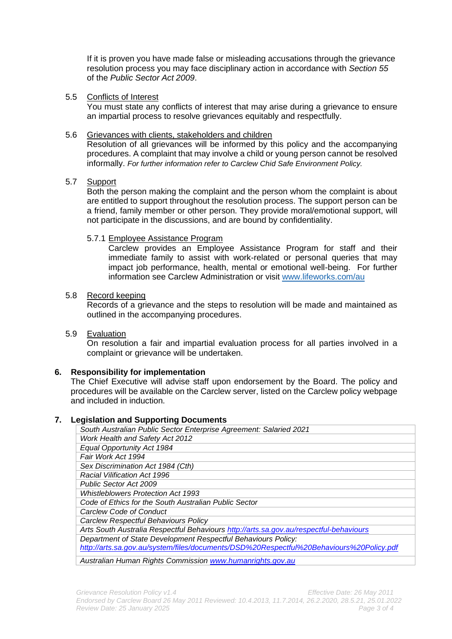If it is proven you have made false or misleading accusations through the grievance resolution process you may face disciplinary action in accordance with *Section 55*  of the *Public Sector Act 2009*.

#### 5.5 Conflicts of Interest

You must state any conflicts of interest that may arise during a grievance to ensure an impartial process to resolve grievances equitably and respectfully.

## 5.6 Grievances with clients, stakeholders and children

Resolution of all grievances will be informed by this policy and the accompanying procedures. A complaint that may involve a child or young person cannot be resolved informally. *For further information refer to Carclew Chid Safe Environment Policy.*

#### 5.7 Support

Both the person making the complaint and the person whom the complaint is about are entitled to support throughout the resolution process. The support person can be a friend, family member or other person. They provide moral/emotional support, will not participate in the discussions, and are bound by confidentiality.

#### 5.7.1 Employee Assistance Program

Carclew provides an Employee Assistance Program for staff and their immediate family to assist with work-related or personal queries that may impact job performance, health, mental or emotional well-being. For further information see Carclew Administration or visit [www.lifeworks.com/au](https://www.lifeworks.com/au)

#### 5.8 Record keeping

Records of a grievance and the steps to resolution will be made and maintained as outlined in the accompanying procedures.

## 5.9 Evaluation

On resolution a fair and impartial evaluation process for all parties involved in a complaint or grievance will be undertaken.

## **6. Responsibility for implementation**

The Chief Executive will advise staff upon endorsement by the Board. The policy and procedures will be available on the Carclew server, listed on the Carclew policy webpage and included in induction.

#### **7. Legislation and Supporting Documents**

| South Australian Public Sector Enterprise Agreement: Salaried 2021                      |  |
|-----------------------------------------------------------------------------------------|--|
| Work Health and Safety Act 2012                                                         |  |
| Equal Opportunity Act 1984                                                              |  |
| Fair Work Act 1994                                                                      |  |
| Sex Discrimination Act 1984 (Cth)                                                       |  |
| <b>Racial Vilification Act 1996</b>                                                     |  |
| <b>Public Sector Act 2009</b>                                                           |  |
| <b>Whistleblowers Protection Act 1993</b>                                               |  |
| Code of Ethics for the South Australian Public Sector                                   |  |
| Carclew Code of Conduct                                                                 |  |
| Carclew Respectful Behaviours Policy                                                    |  |
| Arts South Australia Respectful Behaviours http://arts.sa.gov.au/respectful-behaviours  |  |
| Department of State Development Respectful Behaviours Policy:                           |  |
| http://arts.sa.gov.au/system/files/documents/DSD%20Respectful%20Behaviours%20Policy.pdf |  |
| Australian Human Rights Commission www.humanrights.gov.au                               |  |